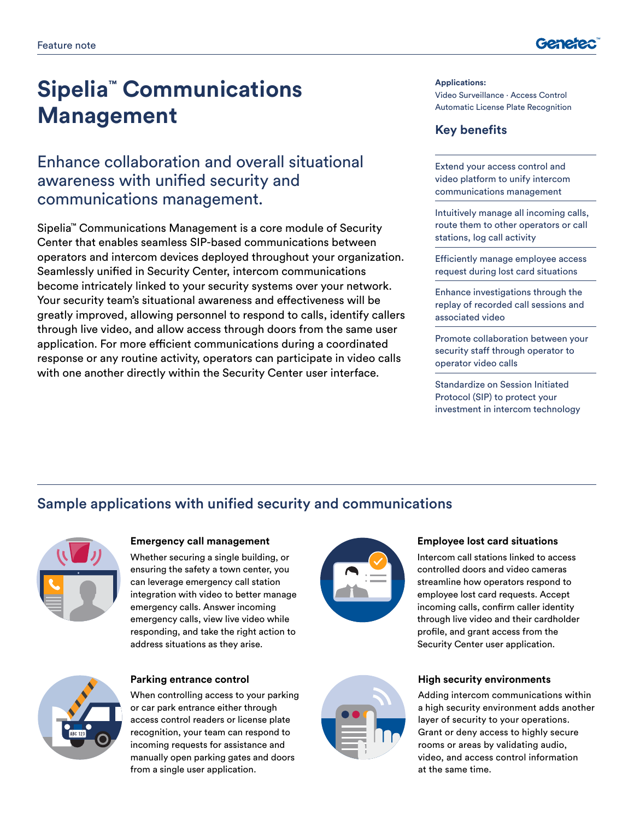

# **Sipelia™ Communications Management**

# Enhance collaboration and overall situational awareness with unified security and communications management.

Sipelia™ Communications Management is a core module of Security Center that enables seamless SIP-based communications between operators and intercom devices deployed throughout your organization. Seamlessly unified in Security Center, intercom communications become intricately linked to your security systems over your network. Your security team's situational awareness and effectiveness will be greatly improved, allowing personnel to respond to calls, identify callers through live video, and allow access through doors from the same user application. For more efficient communications during a coordinated response or any routine activity, operators can participate in video calls with one another directly within the Security Center user interface.

**Applications:** Video Surveillance ∙ Access Control Automatic License Plate Recognition

### **Key benefits**

Extend your access control and video platform to unify intercom communications management

Intuitively manage all incoming calls, route them to other operators or call stations, log call activity

Efficiently manage employee access request during lost card situations

Enhance investigations through the replay of recorded call sessions and associated video

Promote collaboration between your security staff through operator to operator video calls

Standardize on Session Initiated Protocol (SIP) to protect your investment in intercom technology

# Sample applications with unified security and communications



#### **Emergency call management**

Whether securing a single building, or ensuring the safety a town center, you can leverage emergency call station integration with video to better manage emergency calls. Answer incoming emergency calls, view live video while responding, and take the right action to address situations as they arise.



#### **Parking entrance control**

When controlling access to your parking or car park entrance either through access control readers or license plate recognition, your team can respond to incoming requests for assistance and manually open parking gates and doors from a single user application.





#### **Employee lost card situations**

Intercom call stations linked to access controlled doors and video cameras streamline how operators respond to employee lost card requests. Accept incoming calls, confirm caller identity through live video and their cardholder profile, and grant access from the Security Center user application.

#### **High security environments**

Adding intercom communications within a high security environment adds another layer of security to your operations. Grant or deny access to highly secure rooms or areas by validating audio, video, and access control information at the same time.